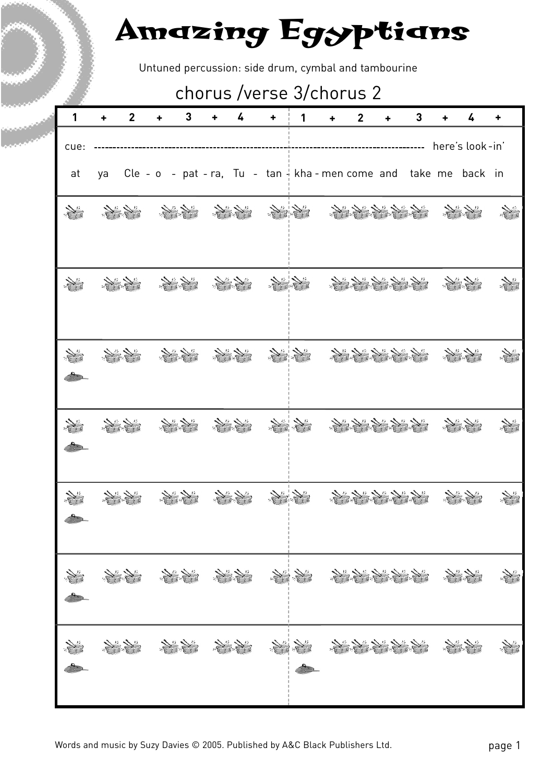Untuned percussion: side drum, cymbal and tambourine

### chorus /verse 3/chorus 2

| 1                   | $\overline{2}$  | 3                                                                             | 4 | ٠ | 1 | ٠  | $\overline{2}$ |               | 3 | 4               | ٠                          |
|---------------------|-----------------|-------------------------------------------------------------------------------|---|---|---|----|----------------|---------------|---|-----------------|----------------------------|
| cue:                |                 |                                                                               |   |   |   |    |                |               |   | here's look-in' |                            |
| at                  | ya              | Cle - o - pat - ra, Tu - tan $\frac{1}{3}$ kha - men come and take me back in |   |   |   |    |                |               |   |                 |                            |
| $\sum_{i}$          | $\overline{15}$ |                                                                               |   |   |   |    |                |               |   |                 |                            |
|                     |                 |                                                                               |   |   |   |    |                |               |   |                 |                            |
|                     |                 |                                                                               |   |   |   |    |                |               |   |                 |                            |
|                     |                 |                                                                               |   |   |   | 15 | $\mathbb{Z}$   | $\frac{1}{2}$ |   |                 |                            |
|                     |                 |                                                                               |   |   |   |    |                |               |   |                 |                            |
| No.<br>$\mathbf{r}$ |                 |                                                                               |   |   |   |    |                |               |   |                 | The Co                     |
|                     |                 | At the state of the state of the state of the                                 |   |   |   |    |                |               |   |                 | $\sum_{i=1}^n\sum_{j=1}^n$ |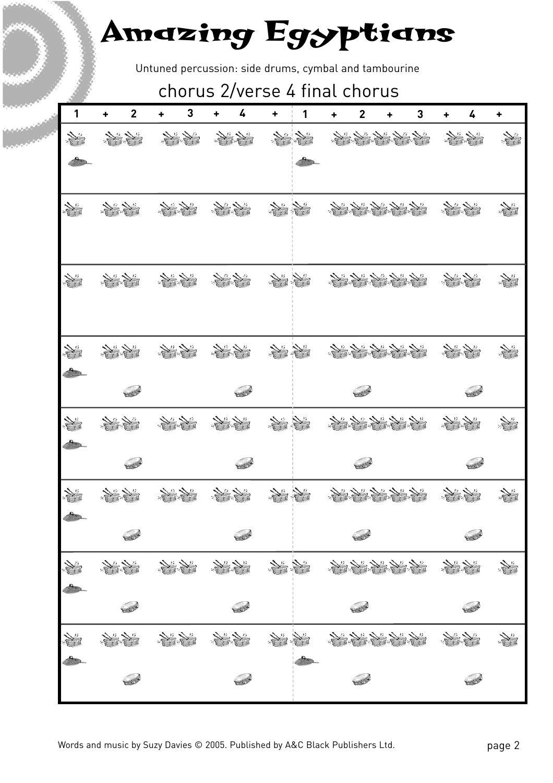Untuned percussion: side drums, cymbal and tambourine

#### chorus 2/verse 4 final chorus

| 1            | $\mathbf 2$<br>٠          | 3<br>٠    | 4<br>+          | +              | 1             | ٠ | $\overline{2}$<br>٠   | 3          | ٠       | 4       | ٠  |
|--------------|---------------------------|-----------|-----------------|----------------|---------------|---|-----------------------|------------|---------|---------|----|
|              | 2010年                     | September | 2019年           |                | No.           |   | 地名美国哈尔                |            |         |         | N" |
|              |                           |           |                 |                |               |   |                       |            |         |         |    |
| No.          | 大学                        | 光光        | All All         | 2010年          |               |   | 2010年1月1日             |            | 大学院     |         | N  |
| J.           | 2010年                     | 经济学       | All All         | 2019年          |               |   | 化学学生学                 |            | 人民      |         | N" |
| $\mathbf{f}$ | 2010年                     | 2000年     | " Sel           | J.             | N             |   | 人民大学生                 | $\sqrt{1}$ |         |         |    |
|              | 300                       |           | 382             |                |               |   | 382                   |            |         | 300     |    |
|              | 1                         | 人民        |                 | 2019年          |               |   | 人民大学生                 |            | The Sea |         |    |
|              | 500                       |           | 500             |                |               |   | 500                   |            |         | 500     |    |
|              |                           |           |                 | $\sum_{i=1}^n$ | $\frac{1}{2}$ |   | 化化学化学                 |            |         |         |    |
|              | SER                       |           | <b>CONTROLL</b> |                |               |   | SER                   |            |         | BRE     |    |
| J.           | Supply of the contract of | Si Si     |                 | Signal Sig     |               |   | And All All All All   |            |         |         |    |
|              | BROW                      |           | BROW            |                |               |   | S                     |            |         | 33      |    |
|              | 大学院                       | 1         | 2010年           | 海棠             |               |   | The Sunday of the Sea |            |         |         | N. |
|              | BROW                      |           | <b>CONTROL</b>  |                |               |   | BRO                   |            |         | Service |    |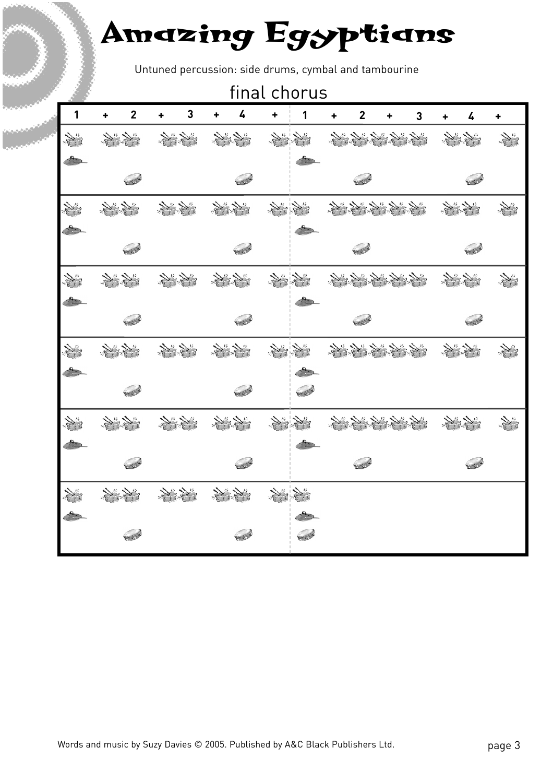Untuned percussion: side drums, cymbal and tambourine

|    |       | final chorus   |                           |       |       |       |       |       |   |                |   |   |   |              |               |
|----|-------|----------------|---------------------------|-------|-------|-------|-------|-------|---|----------------|---|---|---|--------------|---------------|
| 1  | ٠     | $\overline{2}$ | ٠                         | 3     | ٠     | 4     | ٠     | 1     | ÷ | $\mathbf{2}$   | ٠ | 3 | ٠ | 4            | ٠             |
|    | 2000年 |                |                           | 地方    |       | 2000  | 美学院   |       |   | 2010年1月1日      |   |   |   | 经济学          | N"            |
|    |       |                |                           |       |       |       |       |       |   |                |   |   |   |              |               |
|    |       | Service        |                           |       |       | 502   |       |       |   | 502            |   |   |   | SER          |               |
|    | 1     |                | 1000                      |       |       |       | 2010年 |       |   | 2010年1月1日      |   |   |   | Sunday.      |               |
|    |       |                |                           |       |       |       |       |       |   |                |   |   |   |              |               |
|    |       | 500            |                           |       |       | 502   |       |       |   | Ser            |   |   |   | SER          |               |
|    | 100   |                | 2010年                     |       |       | 2000年 | 大学生   |       |   | 2010年1月1日      |   |   |   | 大学院          | $\frac{1}{2}$ |
|    |       |                |                           |       |       |       |       |       |   |                |   |   |   |              |               |
|    |       | 500            |                           |       |       | BOR   |       |       |   | 502            |   |   |   | 500          |               |
|    | 2010年 |                | Sunday of the Congress of |       | 2010年 |       | 2010年 |       |   | 2010年1月1日      |   |   |   | September    |               |
|    |       |                |                           |       |       |       |       |       |   |                |   |   |   |              |               |
|    |       | BROW           |                           |       |       | Book  |       | Sould |   |                |   |   |   |              |               |
| J. | 2000年 |                |                           | 大学学   |       | 2000年 | 2010年 |       |   | 2010年1月1日      |   |   |   | All All Call | N             |
|    |       |                |                           |       |       |       |       |       |   |                |   |   |   |              |               |
|    |       | 502            |                           |       |       | BER   |       |       |   | <b>CONTROL</b> |   |   |   | BER          |               |
|    | 2000年 |                |                           | 2000年 |       | 3个人   |       |       |   |                |   |   |   |              |               |
|    |       |                |                           |       |       |       |       |       |   |                |   |   |   |              |               |
|    |       | 502            |                           |       |       |       |       | 502   |   |                |   |   |   |              |               |
|    |       |                |                           |       |       |       |       |       |   |                |   |   |   |              |               |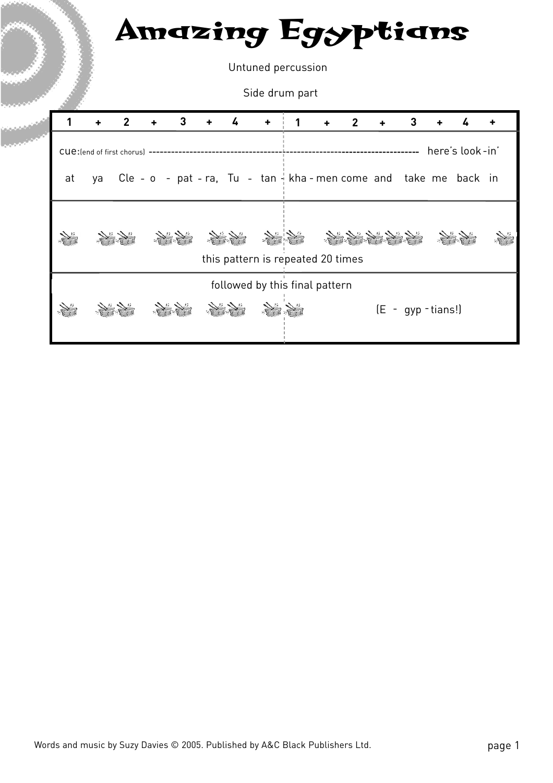Untuned percussion

Side drum part

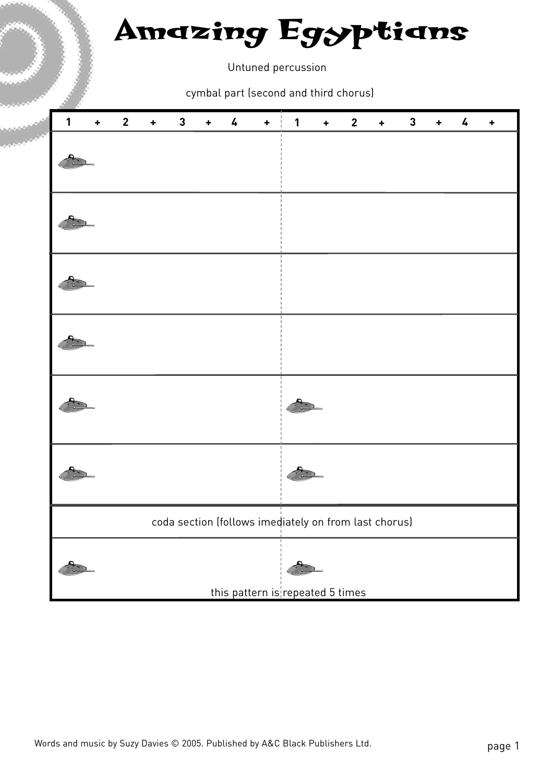Untuned percussion

cymbal part (second and third chorus)

| $\mathbf{1}$ | $\ddot{\phantom{1}}$ | $\mathbf{2}$ | $\ddot{\phantom{1}}$ | $\mathbf 3$ | $\ddot{\phantom{1}}$ | 4 | $\ddot{}$ | 1                                                     | $\ddag$ | $\mathbf{2}$ | $\ddot{\phantom{1}}$ | $\mathbf 3$ | ÷ | 4 | ٠ |
|--------------|----------------------|--------------|----------------------|-------------|----------------------|---|-----------|-------------------------------------------------------|---------|--------------|----------------------|-------------|---|---|---|
|              |                      |              |                      |             |                      |   |           |                                                       |         |              |                      |             |   |   |   |
|              |                      |              |                      |             |                      |   |           |                                                       |         |              |                      |             |   |   |   |
|              |                      |              |                      |             |                      |   |           |                                                       |         |              |                      |             |   |   |   |
|              |                      |              |                      |             |                      |   |           |                                                       |         |              |                      |             |   |   |   |
|              |                      |              |                      |             |                      |   |           |                                                       |         |              |                      |             |   |   |   |
|              |                      |              |                      |             |                      |   |           |                                                       |         |              |                      |             |   |   |   |
|              |                      |              |                      |             |                      |   |           | coda section (follows imediately on from last chorus) |         |              |                      |             |   |   |   |
|              |                      |              |                      |             |                      |   |           | this pattern is repeated 5 times                      |         |              |                      |             |   |   |   |